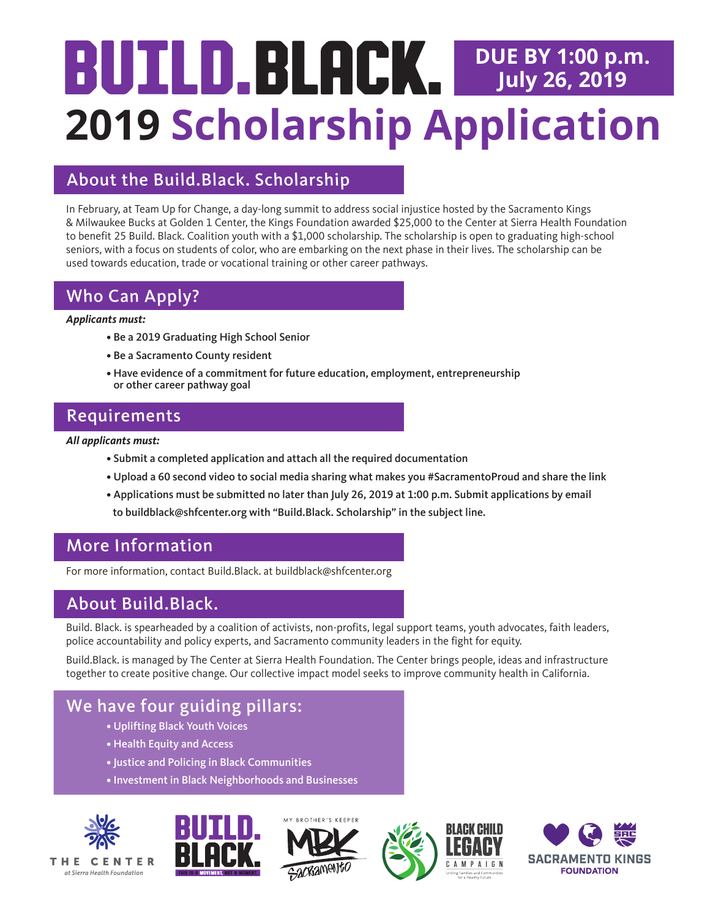# **2019 Scholarship Application DUE BY 1:00 p.m. July 26, 2019**

## About the Build.Black. Scholarship

In February, at Team Up for Change, a day-long summit to address social injustice hosted by the Sacramento Kings & Milwaukee Bucks at Golden 1 Center, the Kings Foundation awarded \$25,000 to the Center at Sierra Health Foundation to benefit 25 Build. Black. Coalition youth with a \$1,000 scholarship. The scholarship is open to graduating high-school seniors, with a focus on students of color, who are embarking on the next phase in their lives. The scholarship can be used towards education, trade or vocational training or other career pathways.

## Who Can Apply?

#### *Applicants must:*

- Be a 2019 Graduating High School Senior
- Be a Sacramento County resident
- Have evidence of a commitment for future education, employment, entrepreneurship or other career pathway goal

#### Requirements

*All applicants must:*

- Submit a completed application and attach all the required documentation
- Upload a 60 second video to social media sharing what makes you #SacramentoProud and share the link
- Applications must be submitted no later than July 26, 2019 at 1:00 p.m. Submit applications by email to [buildblack@shfcenter.org w](Mailto: buildblack@shfcenter.org)ith "Build.Black. Scholarship" in the subject line.

# More Information

For more information, contact Build.Black. at [buildblack@shfcenter.org](Mailto: buildblack@shfcenter.org) 

# About Build.Black.

Build. Black. is spearheaded by a coalition of activists, non-profits, legal support teams, youth advocates, faith leaders, police accountability and policy experts, and Sacramento community leaders in the fight for equity.

Build.Black. is managed by The Center at Sierra Health Foundation. The Center brings people, ideas and infrastructure together to create positive change. Our collective impact model seeks to improve community health in California.

# We have four guiding pillars:

- Uplifting Black Youth Voices
- Health Equity and Access
- Justice and Policing in Black Communities
- Investment in Black Neighborhoods and Businesses











THE CENTER at Sierra Health Foundation